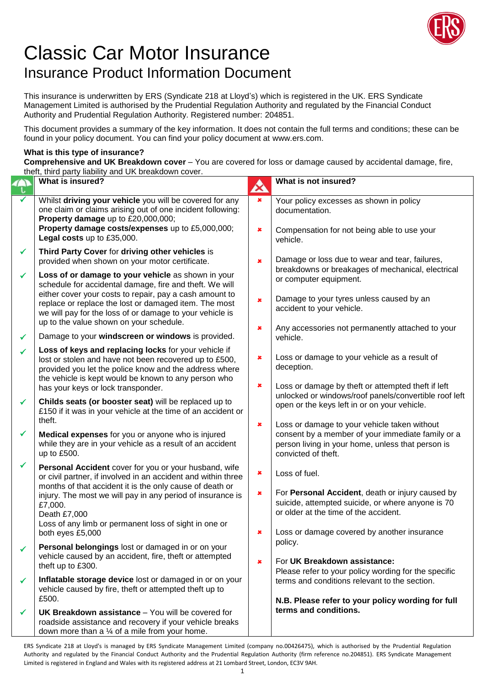

## Classic Car Motor Insurance Insurance Product Information Document

This insurance is underwritten by ERS (Syndicate 218 at Lloyd's) which is registered in the UK. ERS Syndicate Management Limited is authorised by the Prudential Regulation Authority and regulated by the Financial Conduct Authority and Prudential Regulation Authority. Registered number: 204851.

This document provides a summary of the key information. It does not contain the full terms and conditions; these can be found in your policy document. You can find your policy document at www.ers.com.

## **What is this type of insurance?**

**Comprehensive and UK Breakdown cover** – You are covered for loss or damage caused by accidental damage, fire, theft, third party liability and UK breakdown cover.

|   | then, third party hability and OK breakdown cover.                                                                                                                                                                                            |                                  |                                                                                                                                                                               |
|---|-----------------------------------------------------------------------------------------------------------------------------------------------------------------------------------------------------------------------------------------------|----------------------------------|-------------------------------------------------------------------------------------------------------------------------------------------------------------------------------|
|   | <b>What is insured?</b>                                                                                                                                                                                                                       | A                                | What is not insured?                                                                                                                                                          |
| ✓ | Whilst driving your vehicle you will be covered for any<br>one claim or claims arising out of one incident following:<br>Property damage up to £20,000,000;<br>Property damage costs/expenses up to £5,000,000;<br>Legal costs up to £35,000. | $\pmb{\times}$<br>$\pmb{\times}$ | Your policy excesses as shown in policy<br>documentation.<br>Compensation for not being able to use your                                                                      |
|   |                                                                                                                                                                                                                                               |                                  | vehicle.                                                                                                                                                                      |
| ✔ | Third Party Cover for driving other vehicles is<br>provided when shown on your motor certificate.                                                                                                                                             | ×                                | Damage or loss due to wear and tear, failures,<br>breakdowns or breakages of mechanical, electrical                                                                           |
| ✓ | Loss of or damage to your vehicle as shown in your<br>schedule for accidental damage, fire and theft. We will                                                                                                                                 |                                  | or computer equipment.                                                                                                                                                        |
|   | either cover your costs to repair, pay a cash amount to<br>replace or replace the lost or damaged item. The most<br>we will pay for the loss of or damage to your vehicle is                                                                  | $\pmb{x}$                        | Damage to your tyres unless caused by an<br>accident to your vehicle.                                                                                                         |
| ✓ | up to the value shown on your schedule.<br>Damage to your windscreen or windows is provided.                                                                                                                                                  | ×                                | Any accessories not permanently attached to your<br>vehicle.                                                                                                                  |
| ✓ | Loss of keys and replacing locks for your vehicle if<br>lost or stolen and have not been recovered up to £500,<br>provided you let the police know and the address where                                                                      | ×                                | Loss or damage to your vehicle as a result of<br>deception.                                                                                                                   |
|   | the vehicle is kept would be known to any person who<br>has your keys or lock transponder.                                                                                                                                                    | ×                                | Loss or damage by theft or attempted theft if left<br>unlocked or windows/roof panels/convertible roof left                                                                   |
| ✓ | Childs seats (or booster seat) will be replaced up to<br>£150 if it was in your vehicle at the time of an accident or<br>theft.                                                                                                               |                                  | open or the keys left in or on your vehicle.                                                                                                                                  |
| ✔ | Medical expenses for you or anyone who is injured<br>while they are in your vehicle as a result of an accident<br>up to £500.                                                                                                                 | ×                                | Loss or damage to your vehicle taken without<br>consent by a member of your immediate family or a<br>person living in your home, unless that person is<br>convicted of theft. |
| ✔ | Personal Accident cover for you or your husband, wife<br>or civil partner, if involved in an accident and within three                                                                                                                        | ×                                | Loss of fuel.                                                                                                                                                                 |
|   | months of that accident it is the only cause of death or<br>injury. The most we will pay in any period of insurance is<br>£7,000.<br>Death £7,000<br>Loss of any limb or permanent loss of sight in one or                                    | ×                                | For Personal Accident, death or injury caused by<br>suicide, attempted suicide, or where anyone is 70<br>or older at the time of the accident.                                |
|   | both eyes £5,000                                                                                                                                                                                                                              | ×                                | Loss or damage covered by another insurance                                                                                                                                   |
| ✓ | Personal belongings lost or damaged in or on your<br>vehicle caused by an accident, fire, theft or attempted<br>theft up to £300.                                                                                                             | $\pmb{x}$                        | policy.<br>For UK Breakdown assistance:<br>Please refer to your policy wording for the specific                                                                               |
| ✓ | Inflatable storage device lost or damaged in or on your<br>vehicle caused by fire, theft or attempted theft up to<br>£500.                                                                                                                    |                                  | terms and conditions relevant to the section.<br>N.B. Please refer to your policy wording for full                                                                            |
| ✓ | <b>UK Breakdown assistance</b> – You will be covered for<br>roadside assistance and recovery if your vehicle breaks<br>down more than a $\frac{1}{4}$ of a mile from your home.                                                               |                                  | terms and conditions.                                                                                                                                                         |

ERS Syndicate 218 at Lloyd's is managed by ERS Syndicate Management Limited (company no.00426475), which is authorised by the Prudential Regulation Authority and regulated by the Financial Conduct Authority and the Prudential Regulation Authority (firm reference no.204851). ERS Syndicate Management Limited is registered in England and Wales with its registered address at 21 Lombard Street, London, EC3V 9AH.